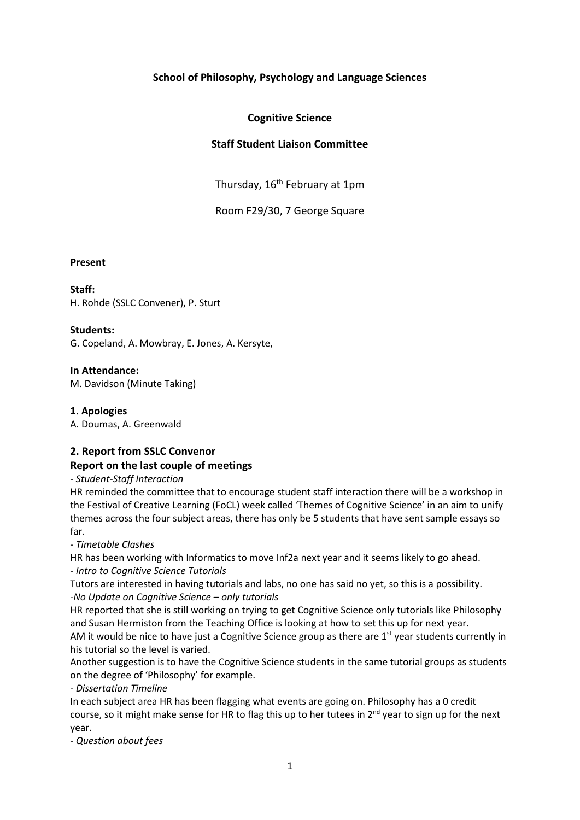# **School of Philosophy, Psychology and Language Sciences**

# **Cognitive Science**

# **Staff Student Liaison Committee**

Thursday, 16<sup>th</sup> February at 1pm

Room F29/30, 7 George Square

#### **Present**

### **Staff:**

H. Rohde (SSLC Convener), P. Sturt

### **Students:**

G. Copeland, A. Mowbray, E. Jones, A. Kersyte,

### **In Attendance:**

M. Davidson (Minute Taking)

### **1. Apologies**

A. Doumas, A. Greenwald

# **2. Report from SSLC Convenor**

# **Report on the last couple of meetings**

# *- Student-Staff Interaction*

HR reminded the committee that to encourage student staff interaction there will be a workshop in the Festival of Creative Learning (FoCL) week called 'Themes of Cognitive Science' in an aim to unify themes across the four subject areas, there has only be 5 students that have sent sample essays so far.

*- Timetable Clashes*

HR has been working with Informatics to move Inf2a next year and it seems likely to go ahead. *- Intro to Cognitive Science Tutorials*

Tutors are interested in having tutorials and labs, no one has said no yet, so this is a possibility. *-No Update on Cognitive Science – only tutorials*

HR reported that she is still working on trying to get Cognitive Science only tutorials like Philosophy and Susan Hermiston from the Teaching Office is looking at how to set this up for next year.

AM it would be nice to have just a Cognitive Science group as there are  $1<sup>st</sup>$  year students currently in his tutorial so the level is varied.

Another suggestion is to have the Cognitive Science students in the same tutorial groups as students on the degree of 'Philosophy' for example.

*- Dissertation Timeline*

In each subject area HR has been flagging what events are going on. Philosophy has a 0 credit course, so it might make sense for HR to flag this up to her tutees in 2<sup>nd</sup> year to sign up for the next year.

*- Question about fees*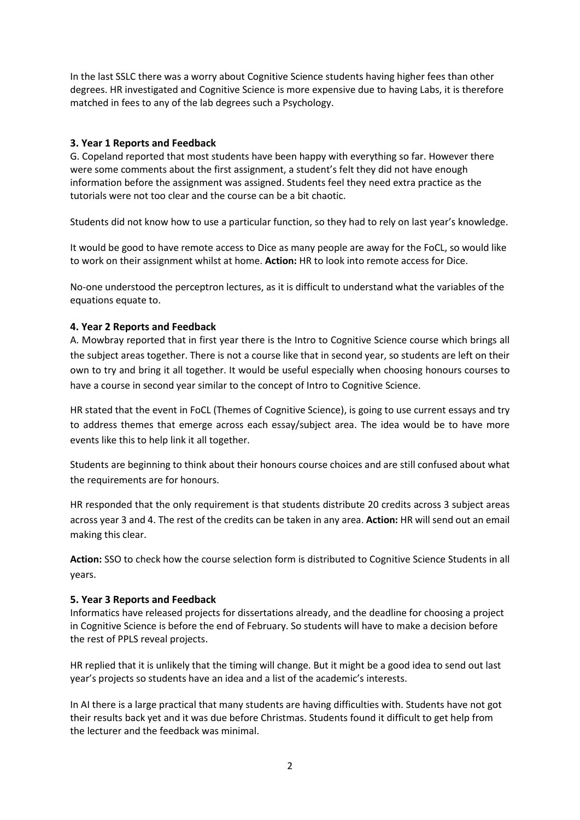In the last SSLC there was a worry about Cognitive Science students having higher fees than other degrees. HR investigated and Cognitive Science is more expensive due to having Labs, it is therefore matched in fees to any of the lab degrees such a Psychology.

# **3. Year 1 Reports and Feedback**

G. Copeland reported that most students have been happy with everything so far. However there were some comments about the first assignment, a student's felt they did not have enough information before the assignment was assigned. Students feel they need extra practice as the tutorials were not too clear and the course can be a bit chaotic.

Students did not know how to use a particular function, so they had to rely on last year's knowledge.

It would be good to have remote access to Dice as many people are away for the FoCL, so would like to work on their assignment whilst at home. **Action:** HR to look into remote access for Dice.

No-one understood the perceptron lectures, as it is difficult to understand what the variables of the equations equate to.

# **4. Year 2 Reports and Feedback**

A. Mowbray reported that in first year there is the Intro to Cognitive Science course which brings all the subject areas together. There is not a course like that in second year, so students are left on their own to try and bring it all together. It would be useful especially when choosing honours courses to have a course in second year similar to the concept of Intro to Cognitive Science.

HR stated that the event in FoCL (Themes of Cognitive Science), is going to use current essays and try to address themes that emerge across each essay/subject area. The idea would be to have more events like this to help link it all together.

Students are beginning to think about their honours course choices and are still confused about what the requirements are for honours.

HR responded that the only requirement is that students distribute 20 credits across 3 subject areas across year 3 and 4. The rest of the credits can be taken in any area. **Action:** HR will send out an email making this clear.

**Action:** SSO to check how the course selection form is distributed to Cognitive Science Students in all years.

# **5. Year 3 Reports and Feedback**

Informatics have released projects for dissertations already, and the deadline for choosing a project in Cognitive Science is before the end of February. So students will have to make a decision before the rest of PPLS reveal projects.

HR replied that it is unlikely that the timing will change. But it might be a good idea to send out last year's projects so students have an idea and a list of the academic's interests.

In AI there is a large practical that many students are having difficulties with. Students have not got their results back yet and it was due before Christmas. Students found it difficult to get help from the lecturer and the feedback was minimal.